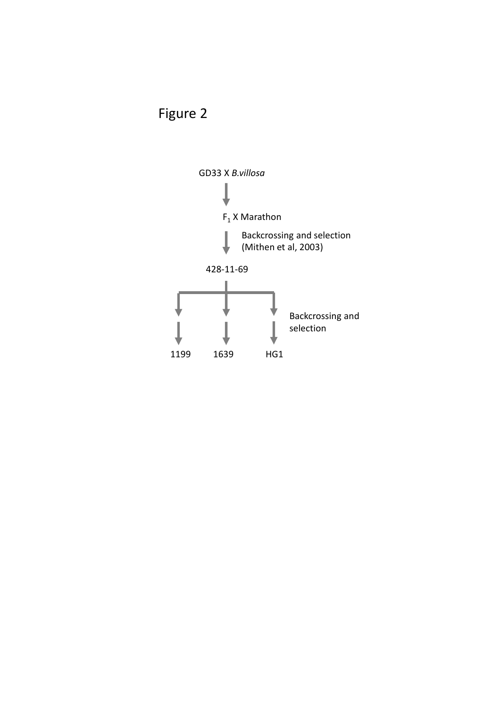

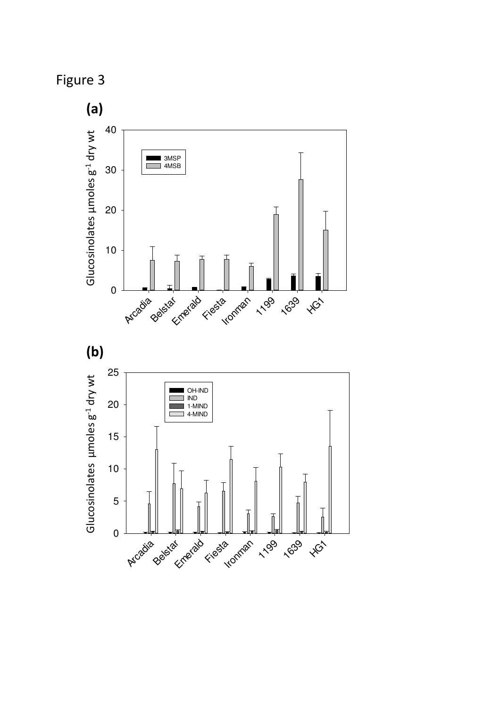

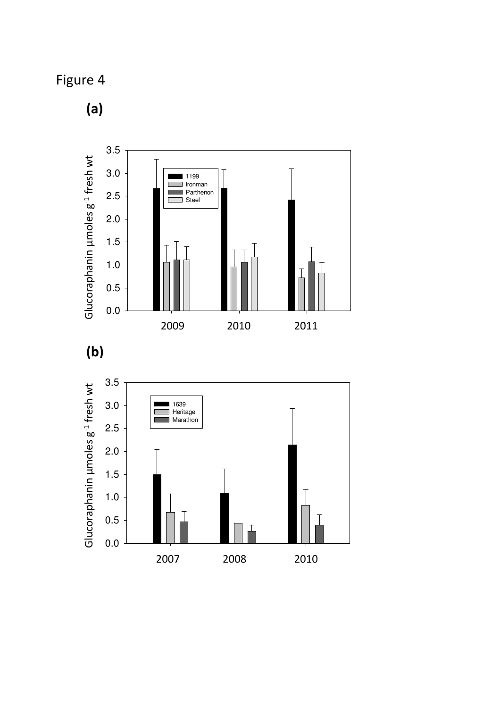Figure 4

(a)





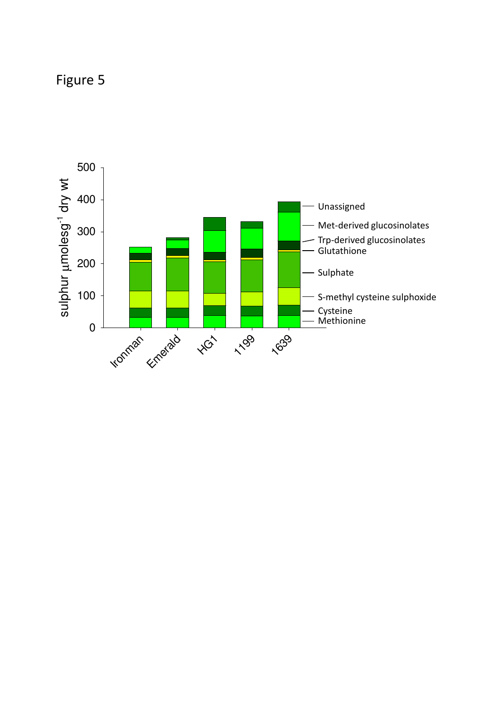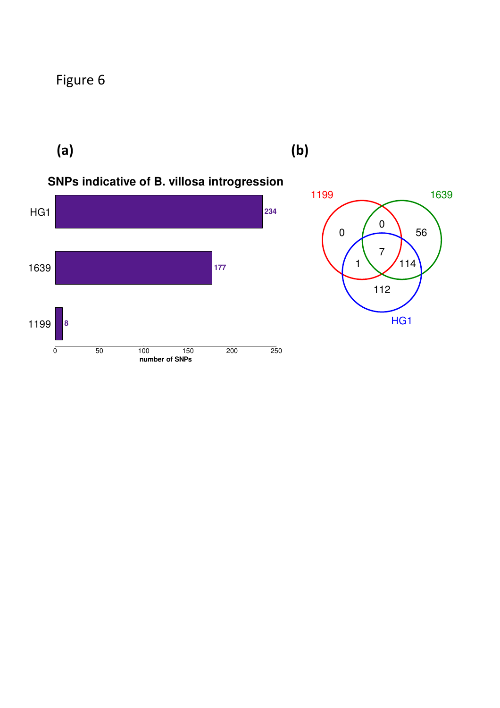$(a)$  (b)

#### **SNPs indicative of B. villosa introgression**



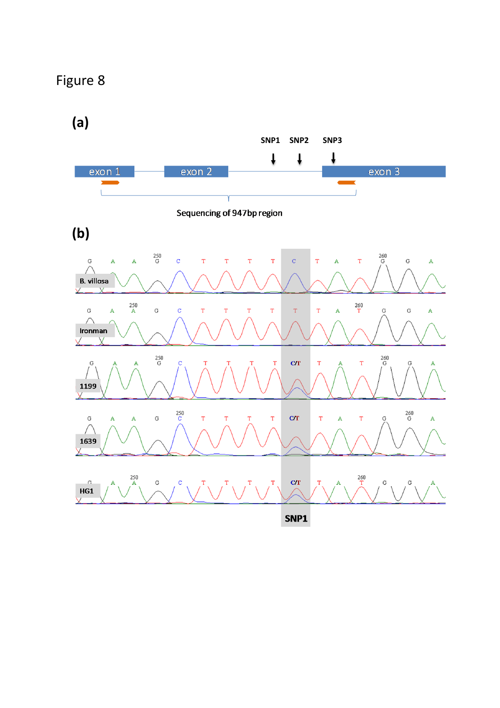